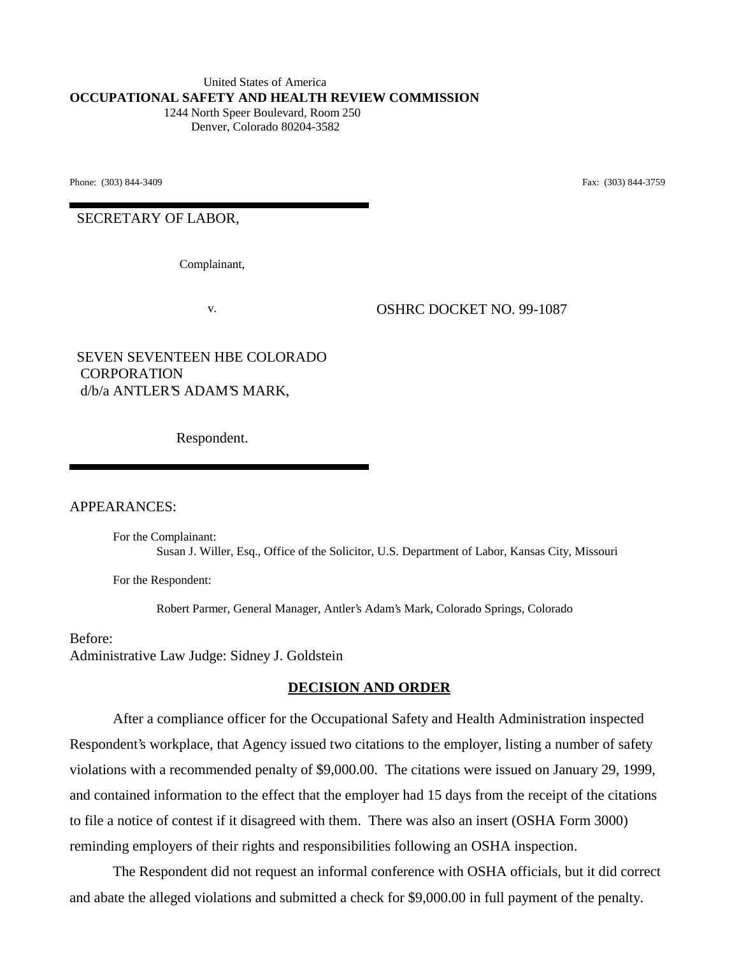United States of America **OCCUPATIONAL SAFETY AND HEALTH REVIEW COMMISSION** 1244 North Speer Boulevard, Room 250 Denver, Colorado 80204-3582

Phone: (303) 844-3409 **Fax:** (303) 844-3759

SECRETARY OF LABOR,

Complainant,

v. OSHRC DOCKET NO. 99-1087

SEVEN SEVENTEEN HBE COLORADO CORPORATION d/b/a ANTLER'S ADAM'S MARK,

Respondent.

APPEARANCES:

For the Complainant: Susan J. Willer, Esq., Office of the Solicitor, U.S. Department of Labor, Kansas City, Missouri

For the Respondent:

Robert Parmer, General Manager, Antler's Adam's Mark, Colorado Springs, Colorado

Before: Administrative Law Judge: Sidney J. Goldstein

## **DECISION AND ORDER**

After a compliance officer for the Occupational Safety and Health Administration inspected Respondent's workplace, that Agency issued two citations to the employer, listing a number of safety violations with a recommended penalty of \$9,000.00. The citations were issued on January 29, 1999, and contained information to the effect that the employer had 15 days from the receipt of the citations to file a notice of contest if it disagreed with them. There was also an insert (OSHA Form 3000) reminding employers of their rights and responsibilities following an OSHA inspection.

The Respondent did not request an informal conference with OSHA officials, but it did correct and abate the alleged violations and submitted a check for \$9,000.00 in full payment of the penalty.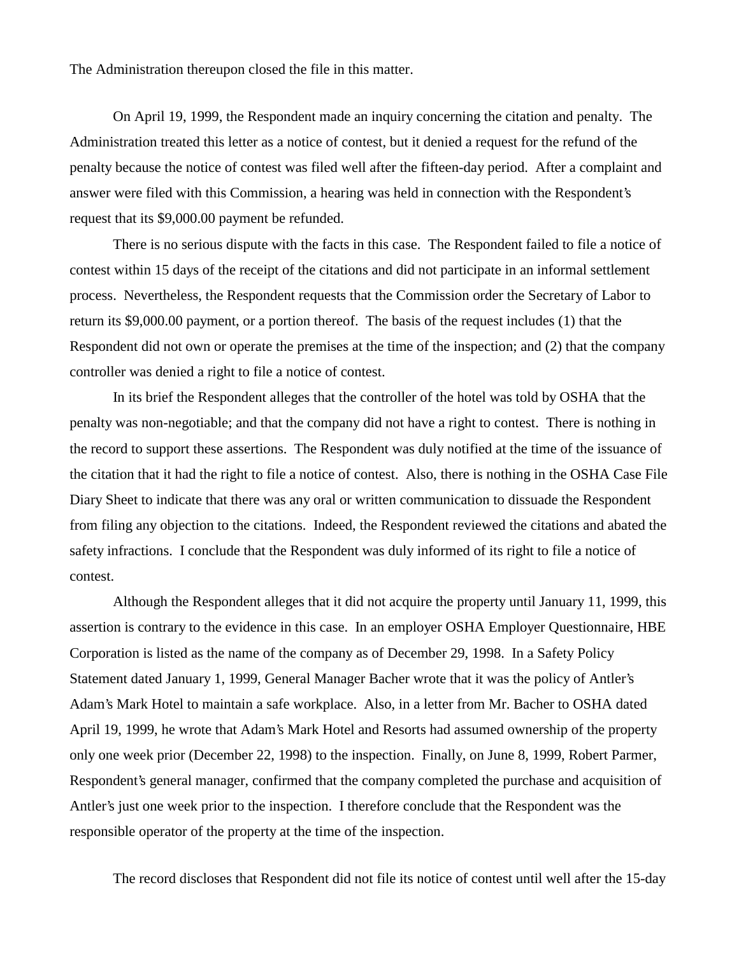The Administration thereupon closed the file in this matter.

On April 19, 1999, the Respondent made an inquiry concerning the citation and penalty. The Administration treated this letter as a notice of contest, but it denied a request for the refund of the penalty because the notice of contest was filed well after the fifteen-day period. After a complaint and answer were filed with this Commission, a hearing was held in connection with the Respondent's request that its \$9,000.00 payment be refunded.

There is no serious dispute with the facts in this case. The Respondent failed to file a notice of contest within 15 days of the receipt of the citations and did not participate in an informal settlement process. Nevertheless, the Respondent requests that the Commission order the Secretary of Labor to return its \$9,000.00 payment, or a portion thereof. The basis of the request includes (1) that the Respondent did not own or operate the premises at the time of the inspection; and (2) that the company controller was denied a right to file a notice of contest.

In its brief the Respondent alleges that the controller of the hotel was told by OSHA that the penalty was non-negotiable; and that the company did not have a right to contest. There is nothing in the record to support these assertions. The Respondent was duly notified at the time of the issuance of the citation that it had the right to file a notice of contest. Also, there is nothing in the OSHA Case File Diary Sheet to indicate that there was any oral or written communication to dissuade the Respondent from filing any objection to the citations. Indeed, the Respondent reviewed the citations and abated the safety infractions. I conclude that the Respondent was duly informed of its right to file a notice of contest.

Although the Respondent alleges that it did not acquire the property until January 11, 1999, this assertion is contrary to the evidence in this case. In an employer OSHA Employer Questionnaire, HBE Corporation is listed as the name of the company as of December 29, 1998. In a Safety Policy Statement dated January 1, 1999, General Manager Bacher wrote that it was the policy of Antler's Adam's Mark Hotel to maintain a safe workplace. Also, in a letter from Mr. Bacher to OSHA dated April 19, 1999, he wrote that Adam's Mark Hotel and Resorts had assumed ownership of the property only one week prior (December 22, 1998) to the inspection. Finally, on June 8, 1999, Robert Parmer, Respondent's general manager, confirmed that the company completed the purchase and acquisition of Antler's just one week prior to the inspection. I therefore conclude that the Respondent was the responsible operator of the property at the time of the inspection.

The record discloses that Respondent did not file its notice of contest until well after the 15-day